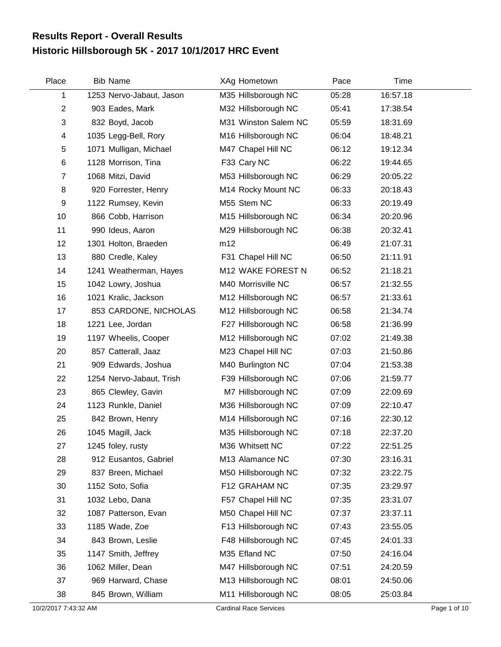## **Historic Hillsborough 5K - 2017 10/1/2017 HRC Event Results Report - Overall Results**

| Place          | <b>Bib Name</b>          | XAg Hometown         | Pace  | Time     |  |
|----------------|--------------------------|----------------------|-------|----------|--|
| 1              | 1253 Nervo-Jabaut, Jason | M35 Hillsborough NC  | 05:28 | 16:57.18 |  |
| $\overline{2}$ | 903 Eades, Mark          | M32 Hillsborough NC  | 05:41 | 17:38.54 |  |
| $\sqrt{3}$     | 832 Boyd, Jacob          | M31 Winston Salem NC | 05:59 | 18:31.69 |  |
| 4              | 1035 Legg-Bell, Rory     | M16 Hillsborough NC  | 06:04 | 18:48.21 |  |
| 5              | 1071 Mulligan, Michael   | M47 Chapel Hill NC   | 06:12 | 19:12.34 |  |
| $\,6$          | 1128 Morrison, Tina      | F33 Cary NC          | 06:22 | 19:44.65 |  |
| $\overline{7}$ | 1068 Mitzi, David        | M53 Hillsborough NC  | 06:29 | 20:05.22 |  |
| 8              | 920 Forrester, Henry     | M14 Rocky Mount NC   | 06:33 | 20:18.43 |  |
| 9              | 1122 Rumsey, Kevin       | M55 Stem NC          | 06:33 | 20:19.49 |  |
| 10             | 866 Cobb, Harrison       | M15 Hillsborough NC  | 06:34 | 20:20.96 |  |
| 11             | 990 Ideus, Aaron         | M29 Hillsborough NC  | 06:38 | 20:32.41 |  |
| 12             | 1301 Holton, Braeden     | m12                  | 06:49 | 21:07.31 |  |
| 13             | 880 Credle, Kaley        | F31 Chapel Hill NC   | 06:50 | 21:11.91 |  |
| 14             | 1241 Weatherman, Hayes   | M12 WAKE FOREST N    | 06:52 | 21:18.21 |  |
| 15             | 1042 Lowry, Joshua       | M40 Morrisville NC   | 06:57 | 21:32.55 |  |
| 16             | 1021 Kralic, Jackson     | M12 Hillsborough NC  | 06:57 | 21:33.61 |  |
| 17             | 853 CARDONE, NICHOLAS    | M12 Hillsborough NC  | 06:58 | 21:34.74 |  |
| 18             | 1221 Lee, Jordan         | F27 Hillsborough NC  | 06:58 | 21:36.99 |  |
| 19             | 1197 Wheelis, Cooper     | M12 Hillsborough NC  | 07:02 | 21:49.38 |  |
| 20             | 857 Catterall, Jaaz      | M23 Chapel Hill NC   | 07:03 | 21:50.86 |  |
| 21             | 909 Edwards, Joshua      | M40 Burlington NC    | 07:04 | 21:53.38 |  |
| 22             | 1254 Nervo-Jabaut, Trish | F39 Hillsborough NC  | 07:06 | 21:59.77 |  |
| 23             | 865 Clewley, Gavin       | M7 Hillsborough NC   | 07:09 | 22:09.69 |  |
| 24             | 1123 Runkle, Daniel      | M36 Hillsborough NC  | 07:09 | 22:10.47 |  |
| 25             | 842 Brown, Henry         | M14 Hillsborough NC  | 07:16 | 22:30.12 |  |
| 26             | 1045 Magill, Jack        | M35 Hillsborough NC  | 07:18 | 22:37.20 |  |
| 27             | 1245 foley, rusty        | M36 Whitsett NC      | 07:22 | 22:51.25 |  |
| 28             | 912 Eusantos, Gabriel    | M13 Alamance NC      | 07:30 | 23:16.31 |  |
| 29             | 837 Breen, Michael       | M50 Hillsborough NC  | 07:32 | 23:22.75 |  |
| 30             | 1152 Soto, Sofia         | F12 GRAHAM NC        | 07:35 | 23:29.97 |  |
| 31             | 1032 Lebo, Dana          | F57 Chapel Hill NC   | 07:35 | 23:31.07 |  |
| 32             | 1087 Patterson, Evan     | M50 Chapel Hill NC   | 07:37 | 23:37.11 |  |
| 33             | 1185 Wade, Zoe           | F13 Hillsborough NC  | 07:43 | 23:55.05 |  |
| 34             | 843 Brown, Leslie        | F48 Hillsborough NC  | 07:45 | 24:01.33 |  |
| 35             | 1147 Smith, Jeffrey      | M35 Efland NC        | 07:50 | 24:16.04 |  |
| 36             | 1062 Miller, Dean        | M47 Hillsborough NC  | 07:51 | 24:20.59 |  |
| 37             | 969 Harward, Chase       | M13 Hillsborough NC  | 08:01 | 24:50.06 |  |
| 38             | 845 Brown, William       | M11 Hillsborough NC  | 08:05 | 25:03.84 |  |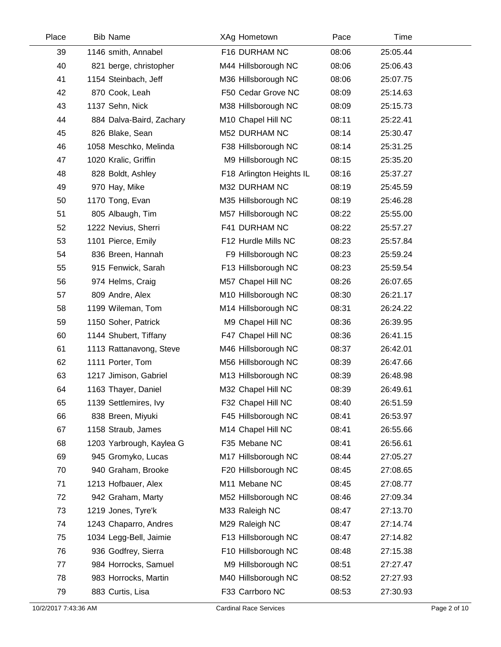| Place | <b>Bib Name</b>          | XAg Hometown             | Pace  | Time     |  |
|-------|--------------------------|--------------------------|-------|----------|--|
| 39    | 1146 smith, Annabel      | F16 DURHAM NC            | 08:06 | 25:05.44 |  |
| 40    | 821 berge, christopher   | M44 Hillsborough NC      | 08:06 | 25:06.43 |  |
| 41    | 1154 Steinbach, Jeff     | M36 Hillsborough NC      | 08:06 | 25:07.75 |  |
| 42    | 870 Cook, Leah           | F50 Cedar Grove NC       | 08:09 | 25:14.63 |  |
| 43    | 1137 Sehn, Nick          | M38 Hillsborough NC      | 08:09 | 25:15.73 |  |
| 44    | 884 Dalva-Baird, Zachary | M10 Chapel Hill NC       | 08:11 | 25:22.41 |  |
| 45    | 826 Blake, Sean          | M52 DURHAM NC            | 08:14 | 25:30.47 |  |
| 46    | 1058 Meschko, Melinda    | F38 Hillsborough NC      | 08:14 | 25:31.25 |  |
| 47    | 1020 Kralic, Griffin     | M9 Hillsborough NC       | 08:15 | 25:35.20 |  |
| 48    | 828 Boldt, Ashley        | F18 Arlington Heights IL | 08:16 | 25:37.27 |  |
| 49    | 970 Hay, Mike            | M32 DURHAM NC            | 08:19 | 25:45.59 |  |
| 50    | 1170 Tong, Evan          | M35 Hillsborough NC      | 08:19 | 25:46.28 |  |
| 51    | 805 Albaugh, Tim         | M57 Hillsborough NC      | 08:22 | 25:55.00 |  |
| 52    | 1222 Nevius, Sherri      | F41 DURHAM NC            | 08:22 | 25:57.27 |  |
| 53    | 1101 Pierce, Emily       | F12 Hurdle Mills NC      | 08:23 | 25:57.84 |  |
| 54    | 836 Breen, Hannah        | F9 Hillsborough NC       | 08:23 | 25:59.24 |  |
| 55    | 915 Fenwick, Sarah       | F13 Hillsborough NC      | 08:23 | 25:59.54 |  |
| 56    | 974 Helms, Craig         | M57 Chapel Hill NC       | 08:26 | 26:07.65 |  |
| 57    | 809 Andre, Alex          | M10 Hillsborough NC      | 08:30 | 26:21.17 |  |
| 58    | 1199 Wileman, Tom        | M14 Hillsborough NC      | 08:31 | 26:24.22 |  |
| 59    | 1150 Soher, Patrick      | M9 Chapel Hill NC        | 08:36 | 26:39.95 |  |
| 60    | 1144 Shubert, Tiffany    | F47 Chapel Hill NC       | 08:36 | 26:41.15 |  |
| 61    | 1113 Rattanavong, Steve  | M46 Hillsborough NC      | 08:37 | 26:42.01 |  |
| 62    | 1111 Porter, Tom         | M56 Hillsborough NC      | 08:39 | 26:47.66 |  |
| 63    | 1217 Jimison, Gabriel    | M13 Hillsborough NC      | 08:39 | 26:48.98 |  |
| 64    | 1163 Thayer, Daniel      | M32 Chapel Hill NC       | 08:39 | 26:49.61 |  |
| 65    | 1139 Settlemires, Ivy    | F32 Chapel Hill NC       | 08:40 | 26:51.59 |  |
| 66    | 838 Breen, Miyuki        | F45 Hillsborough NC      | 08:41 | 26:53.97 |  |
| 67    | 1158 Straub, James       | M14 Chapel Hill NC       | 08:41 | 26:55.66 |  |
| 68    | 1203 Yarbrough, Kaylea G | F35 Mebane NC            | 08:41 | 26:56.61 |  |
| 69    | 945 Gromyko, Lucas       | M17 Hillsborough NC      | 08:44 | 27:05.27 |  |
| 70    | 940 Graham, Brooke       | F20 Hillsborough NC      | 08:45 | 27:08.65 |  |
| 71    | 1213 Hofbauer, Alex      | M11 Mebane NC            | 08:45 | 27:08.77 |  |
| 72    | 942 Graham, Marty        | M52 Hillsborough NC      | 08:46 | 27:09.34 |  |
| 73    | 1219 Jones, Tyre'k       | M33 Raleigh NC           | 08:47 | 27:13.70 |  |
| 74    | 1243 Chaparro, Andres    | M29 Raleigh NC           | 08:47 | 27:14.74 |  |
| 75    | 1034 Legg-Bell, Jaimie   | F13 Hillsborough NC      | 08:47 | 27:14.82 |  |
| 76    | 936 Godfrey, Sierra      | F10 Hillsborough NC      | 08:48 | 27:15.38 |  |
| 77    | 984 Horrocks, Samuel     | M9 Hillsborough NC       | 08:51 | 27:27.47 |  |
| 78    | 983 Horrocks, Martin     | M40 Hillsborough NC      | 08:52 | 27:27.93 |  |
| 79    | 883 Curtis, Lisa         | F33 Carrboro NC          | 08:53 | 27:30.93 |  |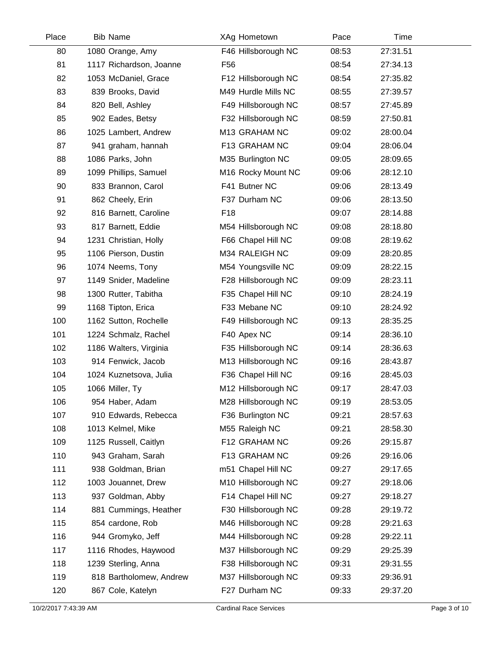| Place | <b>Bib Name</b>         | XAg Hometown        | Pace  | Time     |  |
|-------|-------------------------|---------------------|-------|----------|--|
| 80    | 1080 Orange, Amy        | F46 Hillsborough NC | 08:53 | 27:31.51 |  |
| 81    | 1117 Richardson, Joanne | F56                 | 08:54 | 27:34.13 |  |
| 82    | 1053 McDaniel, Grace    | F12 Hillsborough NC | 08:54 | 27:35.82 |  |
| 83    | 839 Brooks, David       | M49 Hurdle Mills NC | 08:55 | 27:39.57 |  |
| 84    | 820 Bell, Ashley        | F49 Hillsborough NC | 08:57 | 27:45.89 |  |
| 85    | 902 Eades, Betsy        | F32 Hillsborough NC | 08:59 | 27:50.81 |  |
| 86    | 1025 Lambert, Andrew    | M13 GRAHAM NC       | 09:02 | 28:00.04 |  |
| 87    | 941 graham, hannah      | F13 GRAHAM NC       | 09:04 | 28:06.04 |  |
| 88    | 1086 Parks, John        | M35 Burlington NC   | 09:05 | 28:09.65 |  |
| 89    | 1099 Phillips, Samuel   | M16 Rocky Mount NC  | 09:06 | 28:12.10 |  |
| 90    | 833 Brannon, Carol      | F41 Butner NC       | 09:06 | 28:13.49 |  |
| 91    | 862 Cheely, Erin        | F37 Durham NC       | 09:06 | 28:13.50 |  |
| 92    | 816 Barnett, Caroline   | F <sub>18</sub>     | 09:07 | 28:14.88 |  |
| 93    | 817 Barnett, Eddie      | M54 Hillsborough NC | 09:08 | 28:18.80 |  |
| 94    | 1231 Christian, Holly   | F66 Chapel Hill NC  | 09:08 | 28:19.62 |  |
| 95    | 1106 Pierson, Dustin    | M34 RALEIGH NC      | 09:09 | 28:20.85 |  |
| 96    | 1074 Neems, Tony        | M54 Youngsville NC  | 09:09 | 28:22.15 |  |
| 97    | 1149 Snider, Madeline   | F28 Hillsborough NC | 09:09 | 28:23.11 |  |
| 98    | 1300 Rutter, Tabitha    | F35 Chapel Hill NC  | 09:10 | 28:24.19 |  |
| 99    | 1168 Tipton, Erica      | F33 Mebane NC       | 09:10 | 28:24.92 |  |
| 100   | 1162 Sutton, Rochelle   | F49 Hillsborough NC | 09:13 | 28:35.25 |  |
| 101   | 1224 Schmalz, Rachel    | F40 Apex NC         | 09:14 | 28:36.10 |  |
| 102   | 1186 Walters, Virginia  | F35 Hillsborough NC | 09:14 | 28:36.63 |  |
| 103   | 914 Fenwick, Jacob      | M13 Hillsborough NC | 09:16 | 28:43.87 |  |
| 104   | 1024 Kuznetsova, Julia  | F36 Chapel Hill NC  | 09:16 | 28:45.03 |  |
| 105   | 1066 Miller, Ty         | M12 Hillsborough NC | 09:17 | 28:47.03 |  |
| 106   | 954 Haber, Adam         | M28 Hillsborough NC | 09:19 | 28:53.05 |  |
| 107   | 910 Edwards, Rebecca    | F36 Burlington NC   | 09:21 | 28:57.63 |  |
| 108   | 1013 Kelmel, Mike       | M55 Raleigh NC      | 09:21 | 28:58.30 |  |
| 109   | 1125 Russell, Caitlyn   | F12 GRAHAM NC       | 09:26 | 29:15.87 |  |
| 110   | 943 Graham, Sarah       | F13 GRAHAM NC       | 09:26 | 29:16.06 |  |
| 111   | 938 Goldman, Brian      | m51 Chapel Hill NC  | 09:27 | 29:17.65 |  |
| 112   | 1003 Jouannet, Drew     | M10 Hillsborough NC | 09:27 | 29:18.06 |  |
| 113   | 937 Goldman, Abby       | F14 Chapel Hill NC  | 09:27 | 29:18.27 |  |
| 114   | 881 Cummings, Heather   | F30 Hillsborough NC | 09:28 | 29:19.72 |  |
| 115   | 854 cardone, Rob        | M46 Hillsborough NC | 09:28 | 29:21.63 |  |
| 116   | 944 Gromyko, Jeff       | M44 Hillsborough NC | 09:28 | 29:22.11 |  |
| 117   | 1116 Rhodes, Haywood    | M37 Hillsborough NC | 09:29 | 29:25.39 |  |
| 118   | 1239 Sterling, Anna     | F38 Hillsborough NC | 09:31 | 29:31.55 |  |
| 119   | 818 Bartholomew, Andrew | M37 Hillsborough NC | 09:33 | 29:36.91 |  |
| 120   | 867 Cole, Katelyn       | F27 Durham NC       | 09:33 | 29:37.20 |  |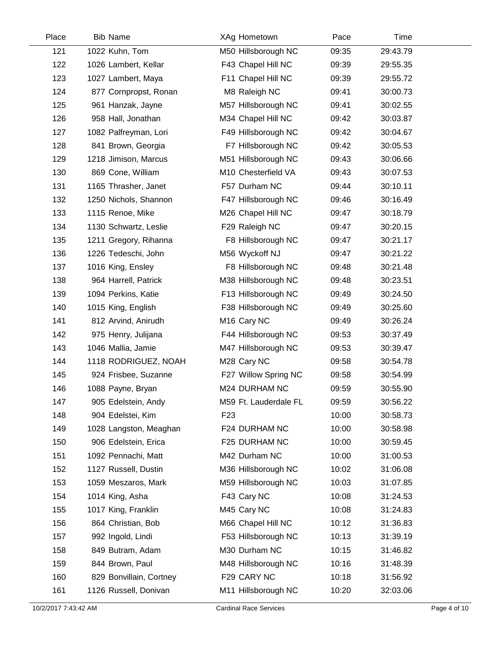| Place | <b>Bib Name</b>         | XAg Hometown            | Pace  | Time     |  |
|-------|-------------------------|-------------------------|-------|----------|--|
| 121   | 1022 Kuhn, Tom          | M50 Hillsborough NC     | 09:35 | 29:43.79 |  |
| 122   | 1026 Lambert, Kellar    | F43 Chapel Hill NC      | 09:39 | 29:55.35 |  |
| 123   | 1027 Lambert, Maya      | F11 Chapel Hill NC      | 09:39 | 29:55.72 |  |
| 124   | 877 Cornpropst, Ronan   | M8 Raleigh NC           | 09:41 | 30:00.73 |  |
| 125   | 961 Hanzak, Jayne       | M57 Hillsborough NC     | 09:41 | 30:02.55 |  |
| 126   | 958 Hall, Jonathan      | M34 Chapel Hill NC      | 09:42 | 30:03.87 |  |
| 127   | 1082 Palfreyman, Lori   | F49 Hillsborough NC     | 09:42 | 30:04.67 |  |
| 128   | 841 Brown, Georgia      | F7 Hillsborough NC      | 09:42 | 30:05.53 |  |
| 129   | 1218 Jimison, Marcus    | M51 Hillsborough NC     | 09:43 | 30:06.66 |  |
| 130   | 869 Cone, William       | M10 Chesterfield VA     | 09:43 | 30:07.53 |  |
| 131   | 1165 Thrasher, Janet    | F57 Durham NC           | 09:44 | 30:10.11 |  |
| 132   | 1250 Nichols, Shannon   | F47 Hillsborough NC     | 09:46 | 30:16.49 |  |
| 133   | 1115 Renoe, Mike        | M26 Chapel Hill NC      | 09:47 | 30:18.79 |  |
| 134   | 1130 Schwartz, Leslie   | F29 Raleigh NC          | 09:47 | 30:20.15 |  |
| 135   | 1211 Gregory, Rihanna   | F8 Hillsborough NC      | 09:47 | 30:21.17 |  |
| 136   | 1226 Tedeschi, John     | M56 Wyckoff NJ          | 09:47 | 30:21.22 |  |
| 137   | 1016 King, Ensley       | F8 Hillsborough NC      | 09:48 | 30:21.48 |  |
| 138   | 964 Harrell, Patrick    | M38 Hillsborough NC     | 09:48 | 30:23.51 |  |
| 139   | 1094 Perkins, Katie     | F13 Hillsborough NC     | 09:49 | 30:24.50 |  |
| 140   | 1015 King, English      | F38 Hillsborough NC     | 09:49 | 30:25.60 |  |
| 141   | 812 Arvind, Anirudh     | M <sub>16</sub> Cary NC | 09:49 | 30:26.24 |  |
| 142   | 975 Henry, Julijana     | F44 Hillsborough NC     | 09:53 | 30:37.49 |  |
| 143   | 1046 Mallia, Jamie      | M47 Hillsborough NC     | 09:53 | 30:39.47 |  |
| 144   | 1118 RODRIGUEZ, NOAH    | M28 Cary NC             | 09:58 | 30:54.78 |  |
| 145   | 924 Frisbee, Suzanne    | F27 Willow Spring NC    | 09:58 | 30:54.99 |  |
| 146   | 1088 Payne, Bryan       | M24 DURHAM NC           | 09:59 | 30:55.90 |  |
| 147   | 905 Edelstein, Andy     | M59 Ft. Lauderdale FL   | 09:59 | 30:56.22 |  |
| 148   | 904 Edelstei, Kim       | F <sub>23</sub>         | 10:00 | 30:58.73 |  |
| 149   | 1028 Langston, Meaghan  | F24 DURHAM NC           | 10:00 | 30:58.98 |  |
| 150   | 906 Edelstein, Erica    | F25 DURHAM NC           | 10:00 | 30:59.45 |  |
| 151   | 1092 Pennachi, Matt     | M42 Durham NC           | 10:00 | 31:00.53 |  |
| 152   | 1127 Russell, Dustin    | M36 Hillsborough NC     | 10:02 | 31:06.08 |  |
| 153   | 1059 Meszaros, Mark     | M59 Hillsborough NC     | 10:03 | 31:07.85 |  |
| 154   | 1014 King, Asha         | F43 Cary NC             | 10:08 | 31:24.53 |  |
| 155   | 1017 King, Franklin     | M45 Cary NC             | 10:08 | 31:24.83 |  |
| 156   | 864 Christian, Bob      | M66 Chapel Hill NC      | 10:12 | 31:36.83 |  |
| 157   | 992 Ingold, Lindi       | F53 Hillsborough NC     | 10:13 | 31:39.19 |  |
| 158   | 849 Butram, Adam        | M30 Durham NC           | 10:15 | 31:46.82 |  |
| 159   | 844 Brown, Paul         | M48 Hillsborough NC     | 10:16 | 31:48.39 |  |
| 160   | 829 Bonvillain, Cortney | F29 CARY NC             | 10:18 | 31:56.92 |  |
| 161   | 1126 Russell, Donivan   | M11 Hillsborough NC     | 10:20 | 32:03.06 |  |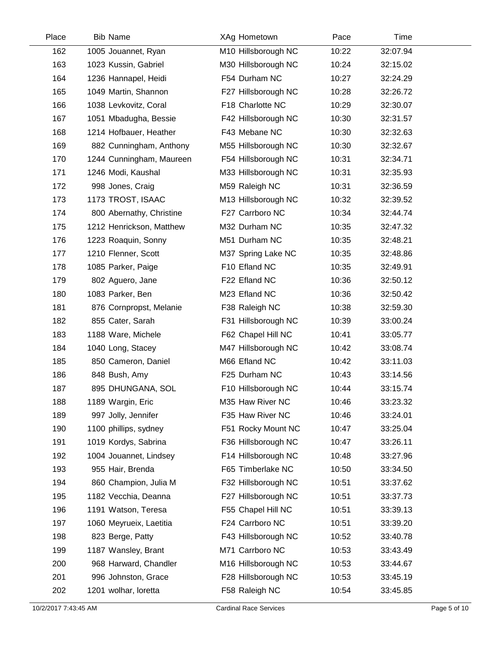| Place | <b>Bib Name</b>          | XAg Hometown        | Pace  | Time     |  |
|-------|--------------------------|---------------------|-------|----------|--|
| 162   | 1005 Jouannet, Ryan      | M10 Hillsborough NC | 10:22 | 32:07.94 |  |
| 163   | 1023 Kussin, Gabriel     | M30 Hillsborough NC | 10:24 | 32:15.02 |  |
| 164   | 1236 Hannapel, Heidi     | F54 Durham NC       | 10:27 | 32:24.29 |  |
| 165   | 1049 Martin, Shannon     | F27 Hillsborough NC | 10:28 | 32:26.72 |  |
| 166   | 1038 Levkovitz, Coral    | F18 Charlotte NC    | 10:29 | 32:30.07 |  |
| 167   | 1051 Mbadugha, Bessie    | F42 Hillsborough NC | 10:30 | 32:31.57 |  |
| 168   | 1214 Hofbauer, Heather   | F43 Mebane NC       | 10:30 | 32:32.63 |  |
| 169   | 882 Cunningham, Anthony  | M55 Hillsborough NC | 10:30 | 32:32.67 |  |
| 170   | 1244 Cunningham, Maureen | F54 Hillsborough NC | 10:31 | 32:34.71 |  |
| 171   | 1246 Modi, Kaushal       | M33 Hillsborough NC | 10:31 | 32:35.93 |  |
| 172   | 998 Jones, Craig         | M59 Raleigh NC      | 10:31 | 32:36.59 |  |
| 173   | 1173 TROST, ISAAC        | M13 Hillsborough NC | 10:32 | 32:39.52 |  |
| 174   | 800 Abernathy, Christine | F27 Carrboro NC     | 10:34 | 32:44.74 |  |
| 175   | 1212 Henrickson, Matthew | M32 Durham NC       | 10:35 | 32:47.32 |  |
| 176   | 1223 Roaquin, Sonny      | M51 Durham NC       | 10:35 | 32:48.21 |  |
| 177   | 1210 Flenner, Scott      | M37 Spring Lake NC  | 10:35 | 32:48.86 |  |
| 178   | 1085 Parker, Paige       | F10 Efland NC       | 10:35 | 32:49.91 |  |
| 179   | 802 Aguero, Jane         | F22 Efland NC       | 10:36 | 32:50.12 |  |
| 180   | 1083 Parker, Ben         | M23 Efland NC       | 10:36 | 32:50.42 |  |
| 181   | 876 Cornpropst, Melanie  | F38 Raleigh NC      | 10:38 | 32:59.30 |  |
| 182   | 855 Cater, Sarah         | F31 Hillsborough NC | 10:39 | 33:00.24 |  |
| 183   | 1188 Ware, Michele       | F62 Chapel Hill NC  | 10:41 | 33:05.77 |  |
| 184   | 1040 Long, Stacey        | M47 Hillsborough NC | 10:42 | 33:08.74 |  |
| 185   | 850 Cameron, Daniel      | M66 Efland NC       | 10:42 | 33:11.03 |  |
| 186   | 848 Bush, Amy            | F25 Durham NC       | 10:43 | 33:14.56 |  |
| 187   | 895 DHUNGANA, SOL        | F10 Hillsborough NC | 10:44 | 33:15.74 |  |
| 188   | 1189 Wargin, Eric        | M35 Haw River NC    | 10:46 | 33:23.32 |  |
| 189   | 997 Jolly, Jennifer      | F35 Haw River NC    | 10:46 | 33:24.01 |  |
| 190   | 1100 phillips, sydney    | F51 Rocky Mount NC  | 10:47 | 33:25.04 |  |
| 191   | 1019 Kordys, Sabrina     | F36 Hillsborough NC | 10:47 | 33:26.11 |  |
| 192   | 1004 Jouannet, Lindsey   | F14 Hillsborough NC | 10:48 | 33:27.96 |  |
| 193   | 955 Hair, Brenda         | F65 Timberlake NC   | 10:50 | 33:34.50 |  |
| 194   | 860 Champion, Julia M    | F32 Hillsborough NC | 10:51 | 33:37.62 |  |
| 195   | 1182 Vecchia, Deanna     | F27 Hillsborough NC | 10:51 | 33:37.73 |  |
| 196   | 1191 Watson, Teresa      | F55 Chapel Hill NC  | 10:51 | 33:39.13 |  |
| 197   | 1060 Meyrueix, Laetitia  | F24 Carrboro NC     | 10:51 | 33:39.20 |  |
| 198   | 823 Berge, Patty         | F43 Hillsborough NC | 10:52 | 33:40.78 |  |
| 199   | 1187 Wansley, Brant      | M71 Carrboro NC     | 10:53 | 33:43.49 |  |
| 200   | 968 Harward, Chandler    | M16 Hillsborough NC | 10:53 | 33:44.67 |  |
| 201   | 996 Johnston, Grace      | F28 Hillsborough NC | 10:53 | 33:45.19 |  |
| 202   | 1201 wolhar, loretta     | F58 Raleigh NC      | 10:54 | 33:45.85 |  |
|       |                          |                     |       |          |  |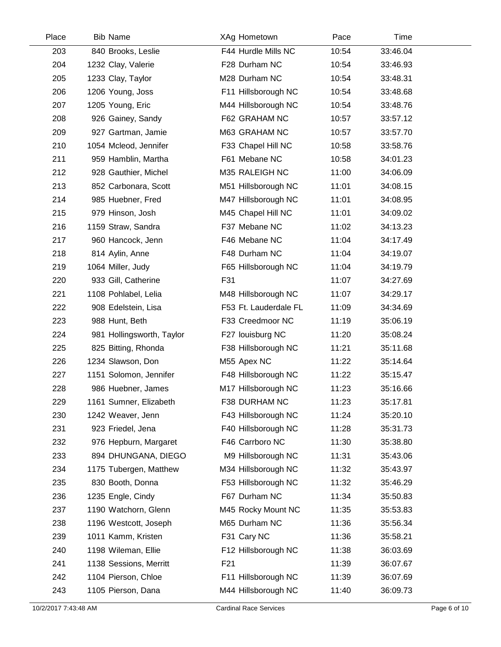| Place | <b>Bib Name</b>           | XAg Hometown          | Pace  | Time     |  |
|-------|---------------------------|-----------------------|-------|----------|--|
| 203   | 840 Brooks, Leslie        | F44 Hurdle Mills NC   | 10:54 | 33:46.04 |  |
| 204   | 1232 Clay, Valerie        | F28 Durham NC         | 10:54 | 33:46.93 |  |
| 205   | 1233 Clay, Taylor         | M28 Durham NC         | 10:54 | 33:48.31 |  |
| 206   | 1206 Young, Joss          | F11 Hillsborough NC   | 10:54 | 33:48.68 |  |
| 207   | 1205 Young, Eric          | M44 Hillsborough NC   | 10:54 | 33:48.76 |  |
| 208   | 926 Gainey, Sandy         | F62 GRAHAM NC         | 10:57 | 33:57.12 |  |
| 209   | 927 Gartman, Jamie        | M63 GRAHAM NC         | 10:57 | 33:57.70 |  |
| 210   | 1054 Mcleod, Jennifer     | F33 Chapel Hill NC    | 10:58 | 33:58.76 |  |
| 211   | 959 Hamblin, Martha       | F61 Mebane NC         | 10:58 | 34:01.23 |  |
| 212   | 928 Gauthier, Michel      | M35 RALEIGH NC        | 11:00 | 34:06.09 |  |
| 213   | 852 Carbonara, Scott      | M51 Hillsborough NC   | 11:01 | 34:08.15 |  |
| 214   | 985 Huebner, Fred         | M47 Hillsborough NC   | 11:01 | 34:08.95 |  |
| 215   | 979 Hinson, Josh          | M45 Chapel Hill NC    | 11:01 | 34:09.02 |  |
| 216   | 1159 Straw, Sandra        | F37 Mebane NC         | 11:02 | 34:13.23 |  |
| 217   | 960 Hancock, Jenn         | F46 Mebane NC         | 11:04 | 34:17.49 |  |
| 218   | 814 Aylin, Anne           | F48 Durham NC         | 11:04 | 34:19.07 |  |
| 219   | 1064 Miller, Judy         | F65 Hillsborough NC   | 11:04 | 34:19.79 |  |
| 220   | 933 Gill, Catherine       | F31                   | 11:07 | 34:27.69 |  |
| 221   | 1108 Pohlabel, Lelia      | M48 Hillsborough NC   | 11:07 | 34:29.17 |  |
| 222   | 908 Edelstein, Lisa       | F53 Ft. Lauderdale FL | 11:09 | 34:34.69 |  |
| 223   | 988 Hunt, Beth            | F33 Creedmoor NC      | 11:19 | 35:06.19 |  |
| 224   | 981 Hollingsworth, Taylor | F27 louisburg NC      | 11:20 | 35:08.24 |  |
| 225   | 825 Bitting, Rhonda       | F38 Hillsborough NC   | 11:21 | 35:11.68 |  |
| 226   | 1234 Slawson, Don         | M55 Apex NC           | 11:22 | 35:14.64 |  |
| 227   | 1151 Solomon, Jennifer    | F48 Hillsborough NC   | 11:22 | 35:15.47 |  |
| 228   | 986 Huebner, James        | M17 Hillsborough NC   | 11:23 | 35:16.66 |  |
| 229   | 1161 Sumner, Elizabeth    | F38 DURHAM NC         | 11:23 | 35:17.81 |  |
| 230   | 1242 Weaver, Jenn         | F43 Hillsborough NC   | 11:24 | 35:20.10 |  |
| 231   | 923 Friedel, Jena         | F40 Hillsborough NC   | 11:28 | 35:31.73 |  |
| 232   | 976 Hepburn, Margaret     | F46 Carrboro NC       | 11:30 | 35:38.80 |  |
| 233   | 894 DHUNGANA, DIEGO       | M9 Hillsborough NC    | 11:31 | 35:43.06 |  |
| 234   | 1175 Tubergen, Matthew    | M34 Hillsborough NC   | 11:32 | 35:43.97 |  |
| 235   | 830 Booth, Donna          | F53 Hillsborough NC   | 11:32 | 35:46.29 |  |
| 236   | 1235 Engle, Cindy         | F67 Durham NC         | 11:34 | 35:50.83 |  |
| 237   | 1190 Watchorn, Glenn      | M45 Rocky Mount NC    | 11:35 | 35:53.83 |  |
| 238   | 1196 Westcott, Joseph     | M65 Durham NC         | 11:36 | 35:56.34 |  |
| 239   | 1011 Kamm, Kristen        | F31 Cary NC           | 11:36 | 35:58.21 |  |
| 240   | 1198 Wileman, Ellie       | F12 Hillsborough NC   | 11:38 | 36:03.69 |  |
| 241   | 1138 Sessions, Merritt    | F <sub>21</sub>       | 11:39 | 36:07.67 |  |
| 242   | 1104 Pierson, Chloe       | F11 Hillsborough NC   | 11:39 | 36:07.69 |  |
| 243   | 1105 Pierson, Dana        | M44 Hillsborough NC   | 11:40 | 36:09.73 |  |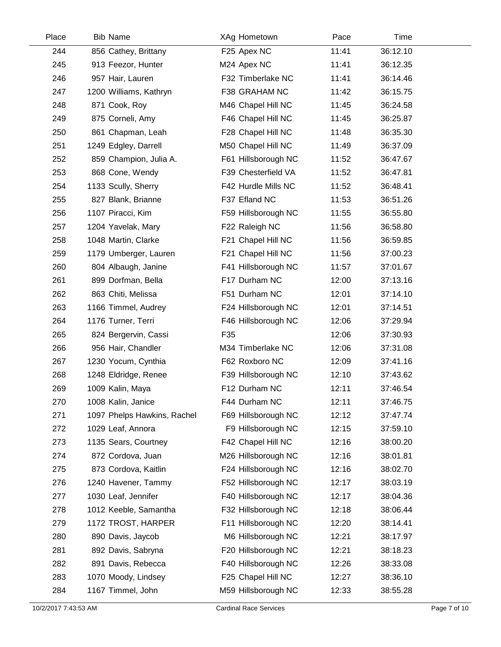| Place | <b>Bib Name</b>             | XAg Hometown        | Pace  | Time     |  |
|-------|-----------------------------|---------------------|-------|----------|--|
| 244   | 856 Cathey, Brittany        | F25 Apex NC         | 11:41 | 36:12.10 |  |
| 245   | 913 Feezor, Hunter          | M24 Apex NC         | 11:41 | 36:12.35 |  |
| 246   | 957 Hair, Lauren            | F32 Timberlake NC   | 11:41 | 36:14.46 |  |
| 247   | 1200 Williams, Kathryn      | F38 GRAHAM NC       | 11:42 | 36:15.75 |  |
| 248   | 871 Cook, Roy               | M46 Chapel Hill NC  | 11:45 | 36:24.58 |  |
| 249   | 875 Corneli, Amy            | F46 Chapel Hill NC  | 11:45 | 36:25.87 |  |
| 250   | 861 Chapman, Leah           | F28 Chapel Hill NC  | 11:48 | 36:35.30 |  |
| 251   | 1249 Edgley, Darrell        | M50 Chapel Hill NC  | 11:49 | 36:37.09 |  |
| 252   | 859 Champion, Julia A.      | F61 Hillsborough NC | 11:52 | 36:47.67 |  |
| 253   | 868 Cone, Wendy             | F39 Chesterfield VA | 11:52 | 36:47.81 |  |
| 254   | 1133 Scully, Sherry         | F42 Hurdle Mills NC | 11:52 | 36:48.41 |  |
| 255   | 827 Blank, Brianne          | F37 Efland NC       | 11:53 | 36:51.26 |  |
| 256   | 1107 Piracci, Kim           | F59 Hillsborough NC | 11:55 | 36:55.80 |  |
| 257   | 1204 Yavelak, Mary          | F22 Raleigh NC      | 11:56 | 36:58.80 |  |
| 258   | 1048 Martin, Clarke         | F21 Chapel Hill NC  | 11:56 | 36:59.85 |  |
| 259   | 1179 Umberger, Lauren       | F21 Chapel Hill NC  | 11:56 | 37:00.23 |  |
| 260   | 804 Albaugh, Janine         | F41 Hillsborough NC | 11:57 | 37:01.67 |  |
| 261   | 899 Dorfman, Bella          | F17 Durham NC       | 12:00 | 37:13.16 |  |
| 262   | 863 Chiti, Melissa          | F51 Durham NC       | 12:01 | 37:14.10 |  |
| 263   | 1166 Timmel, Audrey         | F24 Hillsborough NC | 12:01 | 37:14.51 |  |
| 264   | 1176 Turner, Terri          | F46 Hillsborough NC | 12:06 | 37:29.94 |  |
| 265   | 824 Bergervin, Cassi        | F35                 | 12:06 | 37:30.93 |  |
| 266   | 956 Hair, Chandler          | M34 Timberlake NC   | 12:06 | 37:31.08 |  |
| 267   | 1230 Yocum, Cynthia         | F62 Roxboro NC      | 12:09 | 37:41.16 |  |
| 268   | 1248 Eldridge, Renee        | F39 Hillsborough NC | 12:10 | 37:43.62 |  |
| 269   | 1009 Kalin, Maya            | F12 Durham NC       | 12:11 | 37:46.54 |  |
| 270   | 1008 Kalin, Janice          | F44 Durham NC       | 12:11 | 37:46.75 |  |
| 271   | 1097 Phelps Hawkins, Rachel | F69 Hillsborough NC | 12:12 | 37:47.74 |  |
| 272   | 1029 Leaf, Annora           | F9 Hillsborough NC  | 12:15 | 37:59.10 |  |
| 273   | 1135 Sears, Courtney        | F42 Chapel Hill NC  | 12:16 | 38:00.20 |  |
| 274   | 872 Cordova, Juan           | M26 Hillsborough NC | 12:16 | 38:01.81 |  |
| 275   | 873 Cordova, Kaitlin        | F24 Hillsborough NC | 12:16 | 38:02.70 |  |
| 276   | 1240 Havener, Tammy         | F52 Hillsborough NC | 12:17 | 38:03.19 |  |
| 277   | 1030 Leaf, Jennifer         | F40 Hillsborough NC | 12:17 | 38:04.36 |  |
| 278   | 1012 Keeble, Samantha       | F32 Hillsborough NC | 12:18 | 38:06.44 |  |
| 279   | 1172 TROST, HARPER          | F11 Hillsborough NC | 12:20 | 38:14.41 |  |
| 280   | 890 Davis, Jaycob           | M6 Hillsborough NC  | 12:21 | 38:17.97 |  |
| 281   | 892 Davis, Sabryna          | F20 Hillsborough NC | 12:21 | 38:18.23 |  |
| 282   | 891 Davis, Rebecca          | F40 Hillsborough NC | 12:26 | 38:33.08 |  |
| 283   | 1070 Moody, Lindsey         | F25 Chapel Hill NC  | 12:27 | 38:36.10 |  |
| 284   | 1167 Timmel, John           | M59 Hillsborough NC | 12:33 | 38:55.28 |  |
|       |                             |                     |       |          |  |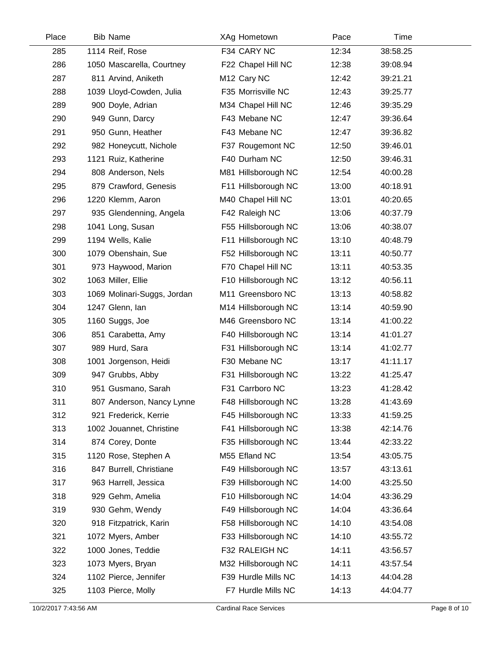| Place | <b>Bib Name</b>             | XAg Hometown            | Pace  | Time     |  |
|-------|-----------------------------|-------------------------|-------|----------|--|
| 285   | 1114 Reif, Rose             | F34 CARY NC             | 12:34 | 38:58.25 |  |
| 286   | 1050 Mascarella, Courtney   | F22 Chapel Hill NC      | 12:38 | 39:08.94 |  |
| 287   | 811 Arvind, Aniketh         | M <sub>12</sub> Cary NC | 12:42 | 39:21.21 |  |
| 288   | 1039 Lloyd-Cowden, Julia    | F35 Morrisville NC      | 12:43 | 39:25.77 |  |
| 289   | 900 Doyle, Adrian           | M34 Chapel Hill NC      | 12:46 | 39:35.29 |  |
| 290   | 949 Gunn, Darcy             | F43 Mebane NC           | 12:47 | 39:36.64 |  |
| 291   | 950 Gunn, Heather           | F43 Mebane NC           | 12:47 | 39:36.82 |  |
| 292   | 982 Honeycutt, Nichole      | F37 Rougemont NC        | 12:50 | 39:46.01 |  |
| 293   | 1121 Ruiz, Katherine        | F40 Durham NC           | 12:50 | 39:46.31 |  |
| 294   | 808 Anderson, Nels          | M81 Hillsborough NC     | 12:54 | 40:00.28 |  |
| 295   | 879 Crawford, Genesis       | F11 Hillsborough NC     | 13:00 | 40:18.91 |  |
| 296   | 1220 Klemm, Aaron           | M40 Chapel Hill NC      | 13:01 | 40:20.65 |  |
| 297   | 935 Glendenning, Angela     | F42 Raleigh NC          | 13:06 | 40:37.79 |  |
| 298   | 1041 Long, Susan            | F55 Hillsborough NC     | 13:06 | 40:38.07 |  |
| 299   | 1194 Wells, Kalie           | F11 Hillsborough NC     | 13:10 | 40:48.79 |  |
| 300   | 1079 Obenshain, Sue         | F52 Hillsborough NC     | 13:11 | 40:50.77 |  |
| 301   | 973 Haywood, Marion         | F70 Chapel Hill NC      | 13:11 | 40:53.35 |  |
| 302   | 1063 Miller, Ellie          | F10 Hillsborough NC     | 13:12 | 40:56.11 |  |
| 303   | 1069 Molinari-Suggs, Jordan | M11 Greensboro NC       | 13:13 | 40:58.82 |  |
| 304   | 1247 Glenn, Ian             | M14 Hillsborough NC     | 13:14 | 40:59.90 |  |
| 305   | 1160 Suggs, Joe             | M46 Greensboro NC       | 13:14 | 41:00.22 |  |
| 306   | 851 Carabetta, Amy          | F40 Hillsborough NC     | 13:14 | 41:01.27 |  |
| 307   | 989 Hurd, Sara              | F31 Hillsborough NC     | 13:14 | 41:02.77 |  |
| 308   | 1001 Jorgenson, Heidi       | F30 Mebane NC           | 13:17 | 41:11.17 |  |
| 309   | 947 Grubbs, Abby            | F31 Hillsborough NC     | 13:22 | 41:25.47 |  |
| 310   | 951 Gusmano, Sarah          | F31 Carrboro NC         | 13:23 | 41:28.42 |  |
| 311   | 807 Anderson, Nancy Lynne   | F48 Hillsborough NC     | 13:28 | 41:43.69 |  |
| 312   | 921 Frederick, Kerrie       | F45 Hillsborough NC     | 13:33 | 41:59.25 |  |
| 313   | 1002 Jouannet, Christine    | F41 Hillsborough NC     | 13:38 | 42:14.76 |  |
| 314   | 874 Corey, Donte            | F35 Hillsborough NC     | 13:44 | 42:33.22 |  |
| 315   | 1120 Rose, Stephen A        | M55 Efland NC           | 13:54 | 43:05.75 |  |
| 316   | 847 Burrell, Christiane     | F49 Hillsborough NC     | 13:57 | 43:13.61 |  |
| 317   | 963 Harrell, Jessica        | F39 Hillsborough NC     | 14:00 | 43:25.50 |  |
| 318   | 929 Gehm, Amelia            | F10 Hillsborough NC     | 14:04 | 43:36.29 |  |
| 319   | 930 Gehm, Wendy             | F49 Hillsborough NC     | 14:04 | 43:36.64 |  |
| 320   | 918 Fitzpatrick, Karin      | F58 Hillsborough NC     | 14:10 | 43:54.08 |  |
| 321   | 1072 Myers, Amber           | F33 Hillsborough NC     | 14:10 | 43:55.72 |  |
| 322   | 1000 Jones, Teddie          | F32 RALEIGH NC          | 14:11 | 43:56.57 |  |
| 323   | 1073 Myers, Bryan           | M32 Hillsborough NC     | 14:11 | 43:57.54 |  |
| 324   | 1102 Pierce, Jennifer       | F39 Hurdle Mills NC     | 14:13 | 44:04.28 |  |
| 325   | 1103 Pierce, Molly          | F7 Hurdle Mills NC      | 14:13 | 44:04.77 |  |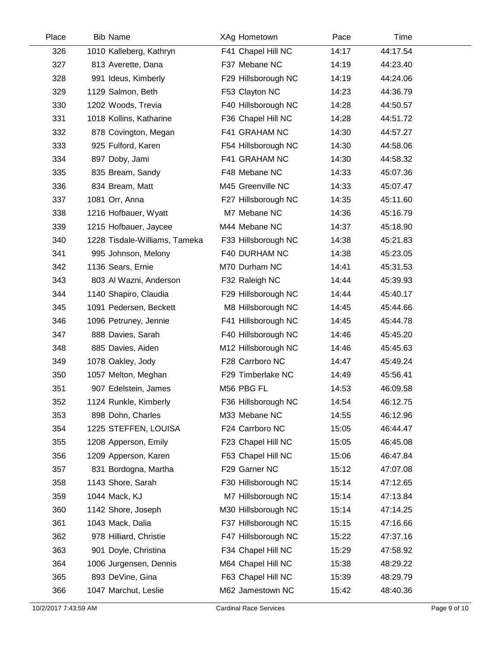| Place | <b>Bib Name</b>               | XAg Hometown        | Pace  | Time     |  |
|-------|-------------------------------|---------------------|-------|----------|--|
| 326   | 1010 Kalleberg, Kathryn       | F41 Chapel Hill NC  | 14:17 | 44:17.54 |  |
| 327   | 813 Averette, Dana            | F37 Mebane NC       | 14:19 | 44:23.40 |  |
| 328   | 991 Ideus, Kimberly           | F29 Hillsborough NC | 14:19 | 44:24.06 |  |
| 329   | 1129 Salmon, Beth             | F53 Clayton NC      | 14:23 | 44:36.79 |  |
| 330   | 1202 Woods, Trevia            | F40 Hillsborough NC | 14:28 | 44:50.57 |  |
| 331   | 1018 Kollins, Katharine       | F36 Chapel Hill NC  | 14:28 | 44:51.72 |  |
| 332   | 878 Covington, Megan          | F41 GRAHAM NC       | 14:30 | 44:57.27 |  |
| 333   | 925 Fulford, Karen            | F54 Hillsborough NC | 14:30 | 44:58.06 |  |
| 334   | 897 Doby, Jami                | F41 GRAHAM NC       | 14:30 | 44:58.32 |  |
| 335   | 835 Bream, Sandy              | F48 Mebane NC       | 14:33 | 45:07.36 |  |
| 336   | 834 Bream, Matt               | M45 Greenville NC   | 14:33 | 45:07.47 |  |
| 337   | 1081 Orr, Anna                | F27 Hillsborough NC | 14:35 | 45:11.60 |  |
| 338   | 1216 Hofbauer, Wyatt          | M7 Mebane NC        | 14:36 | 45:16.79 |  |
| 339   | 1215 Hofbauer, Jaycee         | M44 Mebane NC       | 14:37 | 45:18.90 |  |
| 340   | 1228 Tisdale-Williams, Tameka | F33 Hillsborough NC | 14:38 | 45:21.83 |  |
| 341   | 995 Johnson, Melony           | F40 DURHAM NC       | 14:38 | 45:23.05 |  |
| 342   | 1136 Sears, Ernie             | M70 Durham NC       | 14:41 | 45:31.53 |  |
| 343   | 803 Al Wazni, Anderson        | F32 Raleigh NC      | 14:44 | 45:39.93 |  |
| 344   | 1140 Shapiro, Claudia         | F29 Hillsborough NC | 14:44 | 45:40.17 |  |
| 345   | 1091 Pedersen, Beckett        | M8 Hillsborough NC  | 14:45 | 45:44.66 |  |
| 346   | 1096 Petruney, Jennie         | F41 Hillsborough NC | 14:45 | 45:44.78 |  |
| 347   | 888 Davies, Sarah             | F40 Hillsborough NC | 14:46 | 45:45.20 |  |
| 348   | 885 Davies, Aiden             | M12 Hillsborough NC | 14:46 | 45:45.63 |  |
| 349   | 1078 Oakley, Jody             | F28 Carrboro NC     | 14:47 | 45:49.24 |  |
| 350   | 1057 Melton, Meghan           | F29 Timberlake NC   | 14:49 | 45:56.41 |  |
| 351   | 907 Edelstein, James          | M56 PBG FL          | 14:53 | 46:09.58 |  |
| 352   | 1124 Runkle, Kimberly         | F36 Hillsborough NC | 14:54 | 46:12.75 |  |
| 353   | 898 Dohn, Charles             | M33 Mebane NC       | 14:55 | 46:12.96 |  |
| 354   | 1225 STEFFEN, LOUISA          | F24 Carrboro NC     | 15:05 | 46:44.47 |  |
| 355   | 1208 Apperson, Emily          | F23 Chapel Hill NC  | 15:05 | 46:45.08 |  |
| 356   | 1209 Apperson, Karen          | F53 Chapel Hill NC  | 15:06 | 46:47.84 |  |
| 357   | 831 Bordogna, Martha          | F29 Garner NC       | 15:12 | 47:07.08 |  |
| 358   | 1143 Shore, Sarah             | F30 Hillsborough NC | 15:14 | 47:12.65 |  |
| 359   | 1044 Mack, KJ                 | M7 Hillsborough NC  | 15:14 | 47:13.84 |  |
| 360   | 1142 Shore, Joseph            | M30 Hillsborough NC | 15:14 | 47:14.25 |  |
| 361   | 1043 Mack, Dalia              | F37 Hillsborough NC | 15:15 | 47:16.66 |  |
| 362   | 978 Hilliard, Christie        | F47 Hillsborough NC | 15:22 | 47:37.16 |  |
| 363   | 901 Doyle, Christina          | F34 Chapel Hill NC  | 15:29 | 47:58.92 |  |
| 364   | 1006 Jurgensen, Dennis        | M64 Chapel Hill NC  | 15:38 | 48:29.22 |  |
| 365   | 893 DeVine, Gina              | F63 Chapel Hill NC  | 15:39 | 48:29.79 |  |
| 366   | 1047 Marchut, Leslie          | M62 Jamestown NC    | 15:42 | 48:40.36 |  |